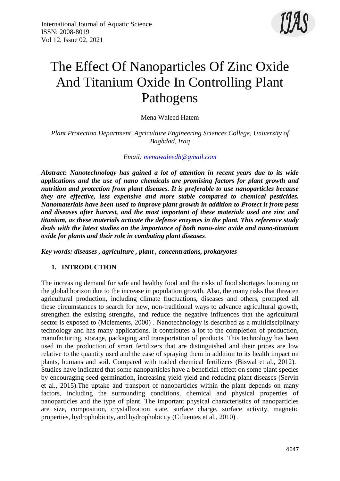

# The Effect Of Nanoparticles Of Zinc Oxide And Titanium Oxide In Controlling Plant Pathogens

Mena Waleed Hatem

*Plant Protection Department, Agriculture Engineering Sciences College, University of Baghdad, Iraq*

## *Email: [menawaleedh@gmail.com](mailto:menawaleedh@gmail.com)*

*Abstract***:** *Nanotechnology has gained a lot of attention in recent years due to its wide applications and the use of nano chemicals are promising factors for plant growth and nutrition and protection from plant diseases. It is preferable to use nanoparticles because they are effective, less expensive and more stable compared to chemical pesticides. Nanomaterials have been used to improve plant growth in addition to Protect it from pests and diseases after harvest, and the most important of these materials used are zinc and titanium, as these materials activate the defense enzymes in the plant. This reference study deals with the latest studies on the importance of both nano-zinc oxide and nano-titanium oxide for plants and their role in combating plant diseases*.

*Key words: diseases , agriculture , plant , concentrations, prokaryotes*

## **1. INTRODUCTION**

The increasing demand for safe and healthy food and the risks of food shortages looming on the global horizon due to the increase in population growth. Also, the many risks that threaten agricultural production, including climate fluctuations, diseases and others, prompted all these circumstances to search for new, non-traditional ways to advance agricultural growth, strengthen the existing strengths, and reduce the negative influences that the agricultural sector is exposed to (Mclements, 2000) . Nanotechnology is described as a multidisciplinary technology and has many applications. It contributes a lot to the completion of production, manufacturing, storage, packaging and transportation of products. This technology has been used in the production of smart fertilizers that are distinguished and their prices are low relative to the quantity used and the ease of spraying them in addition to its health impact on plants, humans and soil. Compared with traded chemical fertilizers (Biswal et al., 2012). Studies have indicated that some nanoparticles have a beneficial effect on some plant species by encouraging seed germination, increasing yield yield and reducing plant diseases (Servin et al., 2015).The uptake and transport of nanoparticles within the plant depends on many factors, including the surrounding conditions, chemical and physical properties of nanoparticles and the type of plant. The important physical characteristics of nanoparticles are size, composition, crystallization state, surface charge, surface activity, magnetic properties, hydrophobicity, and hydrophobicity (Cifuentes et al., 2010) .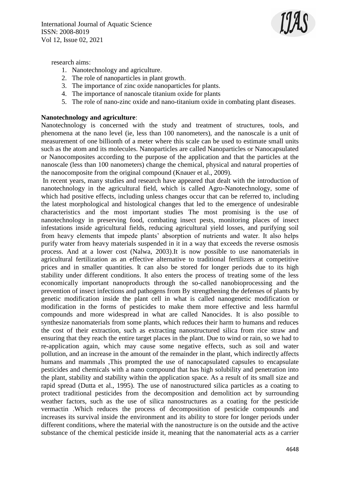

research aims:

- 1. Nanotechnology and agriculture.
- 2. The role of nanoparticles in plant growth.
- 3. The importance of zinc oxide nanoparticles for plants.
- 4. The importance of nanoscale titanium oxide for plants
- 5. The role of nano-zinc oxide and nano-titanium oxide in combating plant diseases.

#### **Nanotechnology and agriculture**:

Nanotechnology is concerned with the study and treatment of structures, tools, and phenomena at the nano level (ie, less than 100 nanometers), and the nanoscale is a unit of measurement of one billionth of a meter where this scale can be used to estimate small units such as the atom and its molecules. Nanoparticles are called Nanoparticles or Nanocapsulated or Nanocomposites according to the purpose of the application and that the particles at the nanoscale (less than 100 nanometers) change the chemical, physical and natural properties of the nanocomposite from the original compound (Knauer et al., 2009).

In recent years, many studies and research have appeared that dealt with the introduction of nanotechnology in the agricultural field, which is called Agro-Nanotechnology, some of which had positive effects, including unless changes occur that can be referred to, including the latest morphological and histological changes that led to the emergence of undesirable characteristics and the most important studies The most promising is the use of nanotechnology in preserving food, combating insect pests, monitoring places of insect infestations inside agricultural fields, reducing agricultural yield losses, and purifying soil from heavy elements that impede plants' absorption of nutrients and water. It also helps purify water from heavy materials suspended in it in a way that exceeds the reverse osmosis process. And at a lower cost (Nalwa, 2003).It is now possible to use nanomaterials in agricultural fertilization as an effective alternative to traditional fertilizers at competitive prices and in smaller quantities. It can also be stored for longer periods due to its high stability under different conditions. It also enters the process of treating some of the less economically important nanoproducts through the so-called nanobioprocessing and the prevention of insect infections and pathogens from By strengthening the defenses of plants by genetic modification inside the plant cell in what is called nanogenetic modification or modification in the forms of pesticides to make them more effective and less harmful compounds and more widespread in what are called Nanocides. It is also possible to synthesize nanomaterials from some plants, which reduces their harm to humans and reduces the cost of their extraction, such as extracting nanostructured silica from rice straw and ensuring that they reach the entire target places in the plant. Due to wind or rain, so we had to re-application again, which may cause some negative effects, such as soil and water pollution, and an increase in the amount of the remainder in the plant, which indirectly affects humans and mammals ,This prompted the use of nanocapsulated capsules to encapsulate pesticides and chemicals with a nano compound that has high solubility and penetration into the plant, stability and stability within the application space. As a result of its small size and rapid spread (Dutta et al., 1995). The use of nanostructured silica particles as a coating to protect traditional pesticides from the decomposition and demolition act by surrounding weather factors, such as the use of silica nanostructures as a coating for the pesticide vermactin .Which reduces the process of decomposition of pesticide compounds and increases its survival inside the environment and its ability to store for longer periods under different conditions, where the material with the nanostructure is on the outside and the active substance of the chemical pesticide inside it, meaning that the nanomaterial acts as a carrier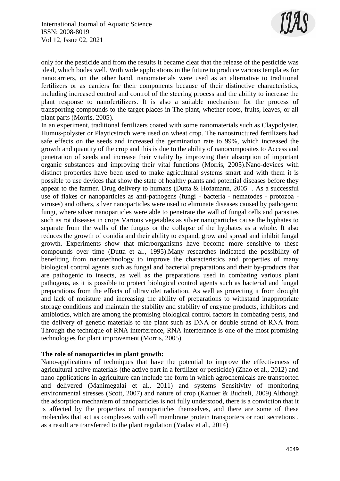

only for the pesticide and from the results it became clear that the release of the pesticide was ideal, which bodes well. With wide applications in the future to produce various templates for nanocarriers, on the other hand, nanomaterials were used as an alternative to traditional fertilizers or as carriers for their components because of their distinctive characteristics, including increased control and control of the steering process and the ability to increase the plant response to nanofertilizers. It is also a suitable mechanism for the process of transporting compounds to the target places in The plant, whether roots, fruits, leaves, or all plant parts (Morris, 2005).

In an experiment, traditional fertilizers coated with some nanomaterials such as Claypolyster, Humus-polyster or Playticstrach were used on wheat crop. The nanostructured fertilizers had safe effects on the seeds and increased the germination rate to 99%, which increased the growth and quantity of the crop and this is due to the ability of nanocomposites to Access and penetration of seeds and increase their vitality by improving their absorption of important organic substances and improving their vital functions (Morris, 2005).Nano-devices with distinct properties have been used to make agricultural systems smart and with them it is possible to use devices that show the state of healthy plants and potential diseases before they appear to the farmer. Drug delivery to humans (Dutta & Hofamann, 2005 . As a successful use of flakes or nanoparticles as anti-pathogens (fungi - bacteria - nematodes - protozoa viruses) and others, silver nanoparticles were used to eliminate diseases caused by pathogenic fungi, where silver nanoparticles were able to penetrate the wall of fungal cells and parasites such as rot diseases in crops Various vegetables as silver nanoparticles cause the hyphates to separate from the walls of the fungus or the collapse of the hyphates as a whole. It also reduces the growth of conidia and their ability to expand, grow and spread and inhibit fungal growth. Experiments show that microorganisms have become more sensitive to these compounds over time (Dutta et al., 1995).Many researches indicated the possibility of benefiting from nanotechnology to improve the characteristics and properties of many biological control agents such as fungal and bacterial preparations and their by-products that are pathogenic to insects, as well as the preparations used in combating various plant pathogens, as it is possible to protect biological control agents such as bacterial and fungal preparations from the effects of ultraviolet radiation. As well as protecting it from drought and lack of moisture and increasing the ability of preparations to withstand inappropriate storage conditions and maintain the stability and stability of enzyme products, inhibitors and antibiotics, which are among the promising biological control factors in combating pests, and the delivery of genetic materials to the plant such as DNA or double strand of RNA from Through the technique of RNA interference, RNA interferance is one of the most promising technologies for plant improvement (Morris, 2005).

## **The role of nanoparticles in plant growth:**

Nano-applications of techniques that have the potential to improve the effectiveness of agricultural active materials (the active part in a fertilizer or pesticide) (Zhao et al., 2012) and nano-applications in agriculture can include the form in which agrochemicals are transported and delivered (Manimegalai et al., 2011) and systems Sensitivity of monitoring environmental stresses (Scott, 2007) and nature of crop (Kanuer & Bucheli, 2009).Although the adsorption mechanism of nanoparticles is not fully understood, there is a conviction that it is affected by the properties of nanoparticles themselves, and there are some of these molecules that act as complexes with cell membrane protein transporters or root secretions , as a result are transferred to the plant regulation (Yadav et al., 2014)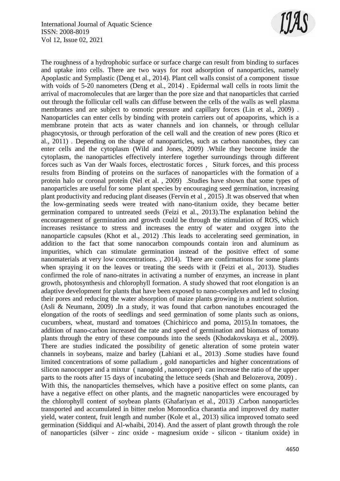

The roughness of a hydrophobic surface or surface charge can result from binding to surfaces and uptake into cells. There are two ways for root adsorption of nanoparticles, namely Apoplastic and Symplastic (Deng et al., 2014). Plant cell walls consist of a component tissue with voids of 5-20 nanometers (Deng et al., 2014). Epidermal wall cells in roots limit the arrival of macromolecules that are larger than the pore size and that nanoparticles that carried out through the follicular cell walls can diffuse between the cells of the walls as well plasma membranes and are subject to osmotic pressure and capillary forces (Lin et al., 2009) . Nanoparticles can enter cells by binding with protein carriers out of apoaporins, which is a membrane protein that acts as water channels and ion channels, or through cellular phagocytosis, or through perforation of the cell wall and the creation of new pores (Rico et al., 2011) . Depending on the shape of nanoparticles, such as carbon nanotubes, they can enter cells and the cytoplasm (Wild and Jones, 2009) .While they become inside the cytoplasm, the nanoparticles effectively interfere together surroundings through different forces such as Van der Waals forces, electrostatic forces , Siturk forces, and this process results from Binding of proteins on the surfaces of nanoparticles with the formation of a protein halo or coronal protein (Nel et al. , 2009) .Studies have shown that some types of nanoparticles are useful for some plant species by encouraging seed germination, increasing plant productivity and reducing plant diseases (Fervin et al , 2015) .It was observed that when the low-germinating seeds were treated with nano-titanium oxide, they became better germination compared to untreated seeds (Feizi et al., 2013).The explanation behind the encouragement of germination and growth could be through the stimulation of ROS, which increases resistance to stress and increases the entry of water and oxygen into the nanoparticle capsules (Khot et al., 2012) .This leads to accelerating seed germination, in addition to the fact that some nanocarbon compounds contain iron and aluminum as impurities, which can stimulate germination instead of the positive effect of some nanomaterials at very low concentrations. , 2014). There are confirmations for some plants when spraying it on the leaves or treating the seeds with it (Feizi et al., 2013). Studies confirmed the role of nano-nitrates in activating a number of enzymes, an increase in plant growth, photosynthesis and chlorophyll formation. A study showed that root elongation is an adaptive development for plants that have been exposed to nano-complexes and led to closing their pores and reducing the water absorption of maize plants growing in a nutrient solution. (Asli & Neumann, 2009) .In a study, it was found that carbon nanotubes encouraged the elongation of the roots of seedlings and seed germination of some plants such as onions, cucumbers, wheat, mustard and tomatoes (Chichiricco and poma, 2015).In tomatoes, the addition of nano-carbon increased the rate and speed of germination and biomass of tomato plants through the entry of these compounds into the seeds (Khodakovskaya et al., 2009). There are studies indicated the possibility of genetic alteration of some protein water channels in soybeans, maize and barley (Lahiani et al., 2013) .Some studies have found limited concentrations of some palladium , gold nanoparticles and higher concentrations of silicon nanocopper and a mixtur ( nanogold , nanocopper) can increase the ratio of the upper parts to the roots after 15 days of incubating the lettuce seeds (Shah and Belozerova, 2009) . With this, the nanoparticles themselves, which have a positive effect on some plants, can have a negative effect on other plants, and the magnetic nanoparticles were encouraged by the chlorophyll content of soybean plants (Ghafariyan et al., 2013) .Carbon nanoparticles transported and accumulated in bitter melon Momordica charantia and improved dry matter yield, water content, fruit length and number (Kole et al., 2013) silica improved tomato seed germination (Siddiqui and Al-whaibi, 2014). And the assert of plant growth through the role of nanoparticles (silver - zinc oxide - magnesium oxide - silicon - titanium oxide) in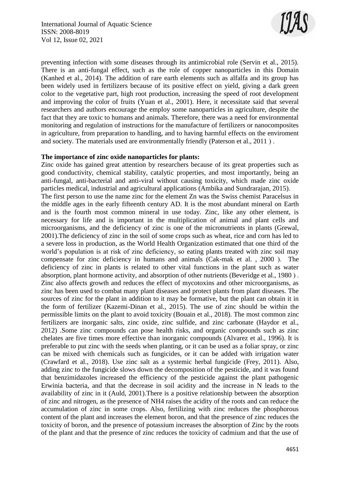

preventing infection with some diseases through its antimicrobial role (Servin et al., 2015). There is an anti-fungal effect, such as the role of copper nanoparticles in this Domain (Kanhed et al., 2014). The addition of rare earth elements such as alfalfa and its group has been widely used in fertilizers because of its positive effect on yield, giving a dark green color to the vegetative part, high root production, increasing the speed of root development and improving the color of fruits (Yuan et al., 2001). Here, it necessitate said that several researchers and authors encourage the employ some nanoparticles in agriculture, despite the fact that they are toxic to humans and animals. Therefore, there was a need for environmental monitoring and regulation of instructions for the manufacture of fertilizers or nanocomposites in agriculture, from preparation to handling, and to having harmful effects on the enviroment and society. The materials used are environmentally friendly (Paterson et al., 2011).

#### **The importance of zinc oxide nanoparticles for plants:**

Zinc oxide has gained great attention by researchers because of its great properties such as good conductivity, chemical stability, catalytic properties, and most importantly, being an anti-fungal, anti-bacterial and anti-viral without causing toxicity, which made zinc oxide particles medical, industrial and agricultural applications (Ambika and Sundrarajan, 2015). The first person to use the name zinc for the element Zn was the Swiss chemist Paracelsus in the middle ages in the early fifteenth century AD. It is the most abundant mineral on Earth and is the fourth most common mineral in use today. Zinc, like any other element, is necessary for life and is important in the multiplication of animal and plant cells and microorganisms, and the deficiency of zinc is one of the micronutrients in plants (Grewal, 2001).The deficiency of zinc in the soil of some crops such as wheat, rice and corn has led to a severe loss in production, as the World Health Organization estimated that one third of the world's population is at risk of zinc deficiency, so eating plants treated with zinc soil may compensate for zinc deficiency in humans and animals  $(Cak-mak et al. , 2000)$ . The deficiency of zinc in plants is related to other vital functions in the plant such as water absorption, plant hormone activity, and absorption of other nutrients (Beveridge et al., 1980). Zinc also affects growth and reduces the effect of mycotoxins and other microorganisms, as zinc has been used to combat many plant diseases and protect plants from plant diseases. The sources of zinc for the plant in addition to it may be formative, but the plant can obtain it in the form of fertilizer (Kazemi-Dinan et al., 2015). The use of zinc should be within the permissible limits on the plant to avoid toxicity (Bouain et al., 2018). The most common zinc fertilizers are inorganic salts, zinc oxide, zinc sulfide, and zinc carbonate (Haydor et al., 2012) .Some zinc compounds can pose health risks, and organic compounds such as zinc chelates are five times more effective than inorganic compounds (Alvarez et al., 1996). It is preferable to put zinc with the seeds when planting, or it can be used as a foliar spray, or zinc can be mixed with chemicals such as fungicides, or it can be added with irrigation water (Crawfard et al., 2018). Use zinc salt as a systemic herbal fungicide (Frey, 2011). Also, adding zinc to the fungicide slows down the decomposition of the pesticide, and it was found that benzimidazoles increased the efficiency of the pesticide against the plant pathogenic Erwinia bacteria, and that the decrease in soil acidity and the increase in N leads to the availability of zinc in it (Auld, 2001).There is a positive relationship between the absorption of zinc and nitrogen, as the presence of NH4 raises the acidity of the roots and can reduce the accumulation of zinc in some crops. Also, fertilizing with zinc reduces the phosphorous content of the plant and increases the element boron, and that the presence of zinc reduces the toxicity of boron, and the presence of potassium increases the absorption of Zinc by the roots of the plant and that the presence of zinc reduces the toxicity of cadmium and that the use of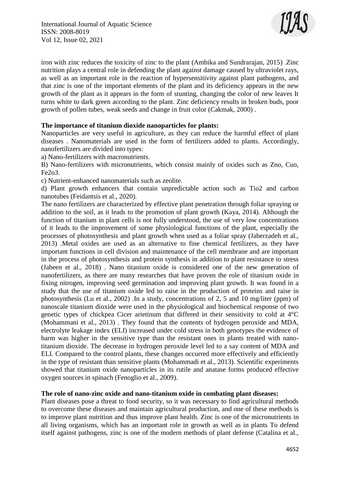

iron with zinc reduces the toxicity of zinc to the plant (Ambika and Sundrarajan, 2015) .Zinc nutrition plays a central role in defending the plant against damage caused by ultraviolet rays, as well as an important role in the reaction of hypersensitivity against plant pathogens, and that zinc is one of the important elements of the plant and its deficiency appears in the new growth of the plant as it appears in the form of stunting, changing the color of new leaves It turns white to dark green according to the plant. Zinc deficiency results in broken buds, poor growth of pollen tubes, weak seeds and change in fruit color (Cakmak, 2000) .

# **The importance of titanium dioxide nanoparticles for plants:**

Nanoparticles are very useful in agriculture, as they can reduce the harmful effect of plant diseases . Nanomaterials are used in the form of fertilizers added to plants. Accordingly, nanofertilizers are divided into types:

a) Nano-fertilizers with macronutrients.

B) Nano-fertilizers with micronutrients, which consist mainly of oxides such as Zno, Cuo, Fe2o3.

c) Nutrient-enhanced nanomaterials such as zeolite.

d) Plant growth enhancers that contain unpredictable action such as Tio2 and carbon nanotubes (Feidantsis et al., 2020).

The nano fertilizers are characterized by effective plant penetration through foliar spraying or addition to the soil, as it leads to the promotion of plant growth (Kaya, 2014). Although the function of titanium in plant cells is not fully understood, the use of very low concentrations of it leads to the improvement of some physiological functions of the plant, especially the processes of photosynthesis and plant growth when used as a foliar spray (Jaberzadeh et al., 2013) .Metal oxides are used as an alternative to fine chemical fertilizers, as they have important functions in cell division and maintenance of the cell membrane and are important in the process of photosynthesis and protein synthesis in addition to plant resistance to stress (Jabeen et al., 2018) . Nano titanium oxide is considered one of the new generation of nanofertilizers, as there are many researches that have proven the role of titanium oxide in fixing nitrogen, improving seed germination and improving plant growth. It was found in a study that the use of titanium oxide led to raise in the production of proteins and raise in photosynthesis (Lu et al., 2002) .In a study, concentrations of 2, 5 and 10 mg/liter (ppm) of nanoscale titanium dioxide were used in the physiological and biochemical response of two genetic types of chickpea Cicer arietinum that differed in their sensitivity to cold at 4°C (Mohammani et al., 2013) . They found that the contents of hydrogen peroxide and MDA, electrolyte leakage index (ELI) increased under cold stress in both genotypes the evidence of harm was higher in the sensitive type than the resistant ones in plants treated with nanotitanium dioxide. The decrease in hydrogen peroxide level led to a say content of MDA and ELI. Compared to the control plants, these changes occurred more effectively and efficiently in the type of resistant than sensitive plants (Mohammadi et al., 2013). Scientific experiments showed that titanium oxide nanoparticles in its rutile and anatase forms produced effective oxygen sources in spinach (Fenoglio et al., 2009).

# **The role of nano-zinc oxide and nano-titanium oxide in combating plant diseases:**

Plant diseases pose a threat to food security, so it was necessary to find agricultural methods to overcome these diseases and maintain agricultural production, and one of these methods is to improve plant nutrition and thus improve plant health. Zinc is one of the micronutrients in all living organisms, which has an important role in growth as well as in plants To defend itself against pathogens, zinc is one of the modern methods of plant defense (Catalina et al.,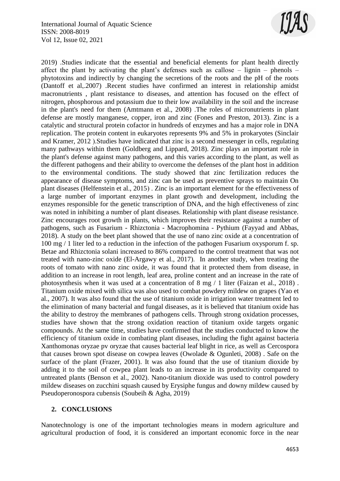

2019) .Studies indicate that the essential and beneficial elements for plant health directly affect the plant by activating the plant's defenses such as callose – lignin – phenols – phytotoxins and indirectly by changing the secretions of the roots and the pH of the roots (Dantoff et al,.2007) .Recent studies have confirmed an interest in relationship amidst macronutrients , plant resistance to diseases, and attention has focused on the effect of nitrogen, phosphorous and potassium due to their low availability in the soil and the increase in the plant's need for them (Amtmann et al., 2008) .The roles of micronutrients in plant defense are mostly manganese, copper, iron and zinc (Fones and Preston, 2013). Zinc is a catalytic and structural protein cofactor in hundreds of enzymes and has a major role in DNA replication. The protein content in eukaryotes represents 9% and 5% in prokaryotes (Sinclair and Kramer,  $2012$ ). Studies have indicated that zinc is a second messenger in cells, regulating many pathways within them (Goldberg and Lippard, 2018). Zinc plays an important role in the plant's defense against many pathogens, and this varies according to the plant, as well as the different pathogens and their ability to overcome the defenses of the plant host in addition to the environmental conditions. The study showed that zinc fertilization reduces the appearance of disease symptoms, and zinc can be used as preventive sprays to maintain On plant diseases (Helfenstein et al., 2015). Zinc is an important element for the effectiveness of a large number of important enzymes in plant growth and development, including the enzymes responsible for the genetic transcription of DNA, and the high effectiveness of zinc was noted in inhibiting a number of plant diseases. Relationship with plant disease resistance. Zinc encourages root growth in plants, which improves their resistance against a number of pathogens, such as Fusarium - Rhizctonia - Macrophomina - Pythium (Fayyad and Abbas, 2018). A study on the beet plant showed that the use of nano zinc oxide at a concentration of 100 mg / 1 liter led to a reduction in the infection of the pathogen Fusarium oxysporum f. sp. Betae and Rhizctonia solani increased to 86% compared to the control treatment that was not treated with nano-zinc oxide (El-Argawy et al., 2017). In another study, when treating the roots of tomato with nano zinc oxide, it was found that it protected them from disease, in addition to an increase in root length, leaf area, proline content and an increase in the rate of photosynthesis when it was used at a concentration of 8 mg / 1 liter (Faizan et al., 2018) . Titanium oxide mixed with silica was also used to combat powdery mildew on grapes (Yao et al., 2007). It was also found that the use of titanium oxide in irrigation water treatment led to the elimination of many bacterial and fungal diseases, as it is believed that titanium oxide has the ability to destroy the membranes of pathogens cells. Through strong oxidation processes, studies have shown that the strong oxidation reaction of titanium oxide targets organic compounds. At the same time, studies have confirmed that the studies conducted to know the efficiency of titanium oxide in combating plant diseases, including the fight against bacteria Xanthomonas oryzae pv oryzae that causes bacterial leaf blight in rice, as well as Cercospora that causes brown spot disease on cowpea leaves (Owolade & Ogunleti, 2008) . Safe on the surface of the plant (Frazer, 2001). It was also found that the use of titanium dioxide by adding it to the soil of cowpea plant leads to an increase in its productivity compared to untreated plants (Benson et al., 2002). Nano-titanium dioxide was used to control powdery mildew diseases on zucchini squash caused by Erysiphe fungus and downy mildew caused by Pseudoperonospora cubensis (Soubeih & Agha, 2019)

## **2. CONCLUSIONS**

Nanotechnology is one of the important technologies means in modern agriculture and agricultural production of food, it is considered an important economic force in the near